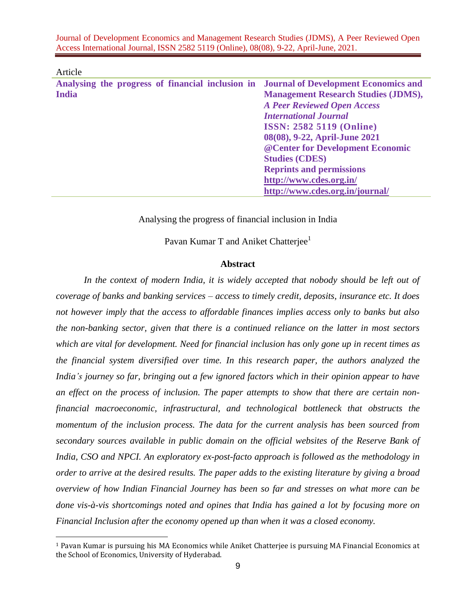| Analysing the progress of financial inclusion in Journal of Development Economics and |                                            |
|---------------------------------------------------------------------------------------|--------------------------------------------|
| <b>India</b>                                                                          | <b>Management Research Studies (JDMS),</b> |
|                                                                                       | <b>A Peer Reviewed Open Access</b>         |
|                                                                                       | <b>International Journal</b>               |
|                                                                                       | <b>ISSN: 2582 5119 (Online)</b>            |
|                                                                                       | 08(08), 9-22, April-June 2021              |
|                                                                                       | @ Center for Development Economic          |
|                                                                                       | <b>Studies (CDES)</b>                      |
|                                                                                       | <b>Reprints and permissions</b>            |
|                                                                                       | http://www.cdes.org.in/                    |
|                                                                                       | http://www.cdes.org.in/journal/            |
|                                                                                       |                                            |

#### Article

Analysing the progress of financial inclusion in India

Pavan Kumar T and Aniket Chatterjee<sup>1</sup>

#### **Abstract**

In the context of modern India, it is widely accepted that nobody should be left out of *coverage of banks and banking services – access to timely credit, deposits, insurance etc. It does not however imply that the access to affordable finances implies access only to banks but also the non-banking sector, given that there is a continued reliance on the latter in most sectors which are vital for development. Need for financial inclusion has only gone up in recent times as the financial system diversified over time. In this research paper, the authors analyzed the India's journey so far, bringing out a few ignored factors which in their opinion appear to have an effect on the process of inclusion. The paper attempts to show that there are certain nonfinancial macroeconomic, infrastructural, and technological bottleneck that obstructs the momentum of the inclusion process. The data for the current analysis has been sourced from secondary sources available in public domain on the official websites of the Reserve Bank of India, CSO and NPCI. An exploratory ex-post-facto approach is followed as the methodology in order to arrive at the desired results. The paper adds to the existing literature by giving a broad overview of how Indian Financial Journey has been so far and stresses on what more can be done vis-à-vis shortcomings noted and opines that India has gained a lot by focusing more on Financial Inclusion after the economy opened up than when it was a closed economy.* 

<sup>1</sup> Pavan Kumar is pursuing his MA Economics while Aniket Chatterjee is pursuing MA Financial Economics at the School of Economics, University of Hyderabad.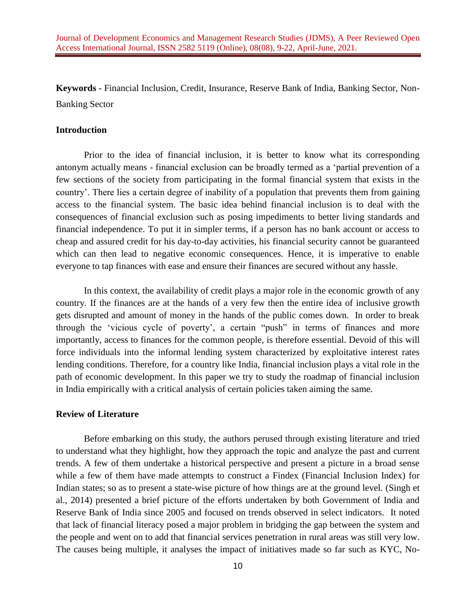**Keywords** - Financial Inclusion, Credit, Insurance, Reserve Bank of India, Banking Sector, Non-Banking Sector

### **Introduction**

Prior to the idea of financial inclusion, it is better to know what its corresponding antonym actually means - financial exclusion can be broadly termed as a 'partial prevention of a few sections of the society from participating in the formal financial system that exists in the country'. There lies a certain degree of inability of a population that prevents them from gaining access to the financial system. The basic idea behind financial inclusion is to deal with the consequences of financial exclusion such as posing impediments to better living standards and financial independence. To put it in simpler terms, if a person has no bank account or access to cheap and assured credit for his day-to-day activities, his financial security cannot be guaranteed which can then lead to negative economic consequences. Hence, it is imperative to enable everyone to tap finances with ease and ensure their finances are secured without any hassle.

In this context, the availability of credit plays a major role in the economic growth of any country. If the finances are at the hands of a very few then the entire idea of inclusive growth gets disrupted and amount of money in the hands of the public comes down. In order to break through the 'vicious cycle of poverty', a certain "push" in terms of finances and more importantly, access to finances for the common people, is therefore essential. Devoid of this will force individuals into the informal lending system characterized by exploitative interest rates lending conditions. Therefore, for a country like India, financial inclusion plays a vital role in the path of economic development. In this paper we try to study the roadmap of financial inclusion in India empirically with a critical analysis of certain policies taken aiming the same.

## **Review of Literature**

Before embarking on this study, the authors perused through existing literature and tried to understand what they highlight, how they approach the topic and analyze the past and current trends. A few of them undertake a historical perspective and present a picture in a broad sense while a few of them have made attempts to construct a Findex (Financial Inclusion Index) for Indian states; so as to present a state-wise picture of how things are at the ground level. (Singh et al., 2014) presented a brief picture of the efforts undertaken by both Government of India and Reserve Bank of India since 2005 and focused on trends observed in select indicators. It noted that lack of financial literacy posed a major problem in bridging the gap between the system and the people and went on to add that financial services penetration in rural areas was still very low. The causes being multiple, it analyses the impact of initiatives made so far such as KYC, No-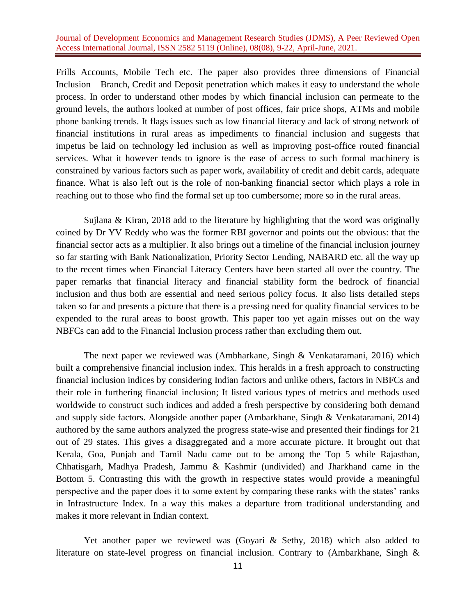Frills Accounts, Mobile Tech etc. The paper also provides three dimensions of Financial Inclusion – Branch, Credit and Deposit penetration which makes it easy to understand the whole process. In order to understand other modes by which financial inclusion can permeate to the ground levels, the authors looked at number of post offices, fair price shops, ATMs and mobile phone banking trends. It flags issues such as low financial literacy and lack of strong network of financial institutions in rural areas as impediments to financial inclusion and suggests that impetus be laid on technology led inclusion as well as improving post-office routed financial services. What it however tends to ignore is the ease of access to such formal machinery is constrained by various factors such as paper work, availability of credit and debit cards, adequate finance. What is also left out is the role of non-banking financial sector which plays a role in reaching out to those who find the formal set up too cumbersome; more so in the rural areas.

Sujlana & Kiran, 2018 add to the literature by highlighting that the word was originally coined by Dr YV Reddy who was the former RBI governor and points out the obvious: that the financial sector acts as a multiplier. It also brings out a timeline of the financial inclusion journey so far starting with Bank Nationalization, Priority Sector Lending, NABARD etc. all the way up to the recent times when Financial Literacy Centers have been started all over the country. The paper remarks that financial literacy and financial stability form the bedrock of financial inclusion and thus both are essential and need serious policy focus. It also lists detailed steps taken so far and presents a picture that there is a pressing need for quality financial services to be expended to the rural areas to boost growth. This paper too yet again misses out on the way NBFCs can add to the Financial Inclusion process rather than excluding them out.

The next paper we reviewed was (Ambharkane, Singh & Venkataramani, 2016) which built a comprehensive financial inclusion index. This heralds in a fresh approach to constructing financial inclusion indices by considering Indian factors and unlike others, factors in NBFCs and their role in furthering financial inclusion; It listed various types of metrics and methods used worldwide to construct such indices and added a fresh perspective by considering both demand and supply side factors. Alongside another paper (Ambarkhane, Singh & Venkataramani, 2014) authored by the same authors analyzed the progress state-wise and presented their findings for 21 out of 29 states. This gives a disaggregated and a more accurate picture. It brought out that Kerala, Goa, Punjab and Tamil Nadu came out to be among the Top 5 while Rajasthan, Chhatisgarh, Madhya Pradesh, Jammu & Kashmir (undivided) and Jharkhand came in the Bottom 5. Contrasting this with the growth in respective states would provide a meaningful perspective and the paper does it to some extent by comparing these ranks with the states' ranks in Infrastructure Index. In a way this makes a departure from traditional understanding and makes it more relevant in Indian context.

Yet another paper we reviewed was (Goyari & Sethy, 2018) which also added to literature on state-level progress on financial inclusion. Contrary to (Ambarkhane, Singh &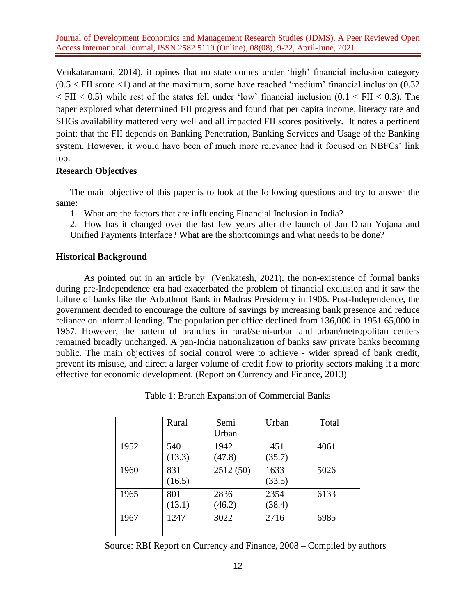Venkataramani, 2014), it opines that no state comes under 'high' financial inclusion category  $(0.5 <$  FII score  $<$ 1) and at the maximum, some have reached 'medium' financial inclusion  $(0.32)$  $\langle$  FII  $\langle$  0.5) while rest of the states fell under 'low' financial inclusion (0.1  $\langle$  FII  $\langle$  0.3). The paper explored what determined FII progress and found that per capita income, literacy rate and SHGs availability mattered very well and all impacted FII scores positively. It notes a pertinent point: that the FII depends on Banking Penetration, Banking Services and Usage of the Banking system. However, it would have been of much more relevance had it focused on NBFCs' link too.

## **Research Objectives**

The main objective of this paper is to look at the following questions and try to answer the same:

1. What are the factors that are influencing Financial Inclusion in India?

2. How has it changed over the last few years after the launch of Jan Dhan Yojana and Unified Payments Interface? What are the shortcomings and what needs to be done?

### **Historical Background**

As pointed out in an article by (Venkatesh, 2021), the non-existence of formal banks during pre-Independence era had exacerbated the problem of financial exclusion and it saw the failure of banks like the Arbuthnot Bank in Madras Presidency in 1906. Post-Independence, the government decided to encourage the culture of savings by increasing bank presence and reduce reliance on informal lending. The population per office declined from 136,000 in 1951 65,000 in 1967. However, the pattern of branches in rural/semi-urban and urban/metropolitan centers remained broadly unchanged. A pan-India nationalization of banks saw private banks becoming public. The main objectives of social control were to achieve - wider spread of bank credit, prevent its misuse, and direct a larger volume of credit flow to priority sectors making it a more effective for economic development. (Report on Currency and Finance, 2013)

|      | Rural         | Semi<br>Urban  | Urban          | Total |
|------|---------------|----------------|----------------|-------|
| 1952 | 540<br>(13.3) | 1942<br>(47.8) | 1451<br>(35.7) | 4061  |
| 1960 | 831<br>(16.5) | 2512 (50)      | 1633<br>(33.5) | 5026  |
| 1965 | 801<br>(13.1) | 2836<br>(46.2) | 2354<br>(38.4) | 6133  |
| 1967 | 1247          | 3022           | 2716           | 6985  |

Table 1: Branch Expansion of Commercial Banks

Source: RBI Report on Currency and Finance, 2008 – Compiled by authors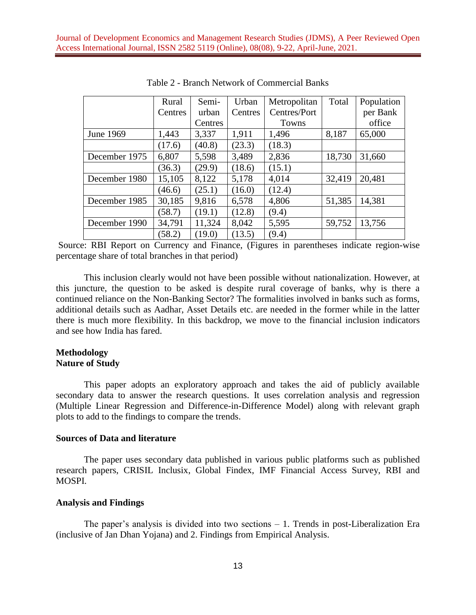|               | Rural   | Semi-   | Urban   | Metropolitan | Total  | Population |
|---------------|---------|---------|---------|--------------|--------|------------|
|               | Centres | urban   | Centres | Centres/Port |        | per Bank   |
|               |         | Centres |         | Towns        |        | office     |
| June 1969     | 1,443   | 3,337   | 1,911   | 1,496        | 8,187  | 65,000     |
|               | (17.6)  | (40.8)  | (23.3)  | (18.3)       |        |            |
| December 1975 | 6,807   | 5,598   | 3,489   | 2,836        | 18,730 | 31,660     |
|               | (36.3)  | (29.9)  | (18.6)  | (15.1)       |        |            |
| December 1980 | 15,105  | 8,122   | 5,178   | 4,014        | 32,419 | 20,481     |
|               | (46.6)  | (25.1)  | (16.0)  | (12.4)       |        |            |
| December 1985 | 30,185  | 9,816   | 6,578   | 4,806        | 51,385 | 14,381     |
|               | (58.7)  | (19.1)  | (12.8)  | (9.4)        |        |            |
| December 1990 | 34,791  | 11,324  | 8,042   | 5,595        | 59,752 | 13,756     |
|               | (58.2)  | (19.0)  | (13.5)  | (9.4)        |        |            |

Table 2 - Branch Network of Commercial Banks

Source: RBI Report on Currency and Finance, (Figures in parentheses indicate region-wise percentage share of total branches in that period)

This inclusion clearly would not have been possible without nationalization. However, at this juncture, the question to be asked is despite rural coverage of banks, why is there a continued reliance on the Non-Banking Sector? The formalities involved in banks such as forms, additional details such as Aadhar, Asset Details etc. are needed in the former while in the latter there is much more flexibility. In this backdrop, we move to the financial inclusion indicators and see how India has fared.

#### **Methodology Nature of Study**

This paper adopts an exploratory approach and takes the aid of publicly available secondary data to answer the research questions. It uses correlation analysis and regression (Multiple Linear Regression and Difference-in-Difference Model) along with relevant graph plots to add to the findings to compare the trends.

#### **Sources of Data and literature**

The paper uses secondary data published in various public platforms such as published research papers, CRISIL Inclusix, Global Findex, IMF Financial Access Survey, RBI and MOSPI.

#### **Analysis and Findings**

The paper's analysis is divided into two sections – 1. Trends in post-Liberalization Era (inclusive of Jan Dhan Yojana) and 2. Findings from Empirical Analysis.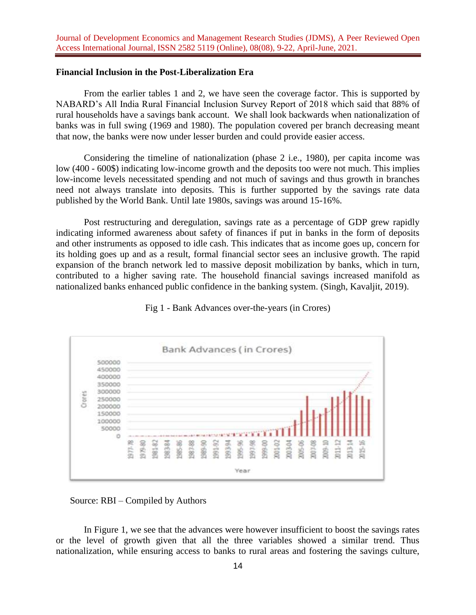#### **Financial Inclusion in the Post-Liberalization Era**

From the earlier tables 1 and 2, we have seen the coverage factor. This is supported by NABARD's All India Rural Financial Inclusion Survey Report of 2018 which said that 88% of rural households have a savings bank account. We shall look backwards when nationalization of banks was in full swing (1969 and 1980). The population covered per branch decreasing meant that now, the banks were now under lesser burden and could provide easier access.

Considering the timeline of nationalization (phase 2 i.e., 1980), per capita income was low (400 - 600\$) indicating low-income growth and the deposits too were not much. This implies low-income levels necessitated spending and not much of savings and thus growth in branches need not always translate into deposits. This is further supported by the savings rate data published by the World Bank. Until late 1980s, savings was around 15-16%.

Post restructuring and deregulation, savings rate as a percentage of GDP grew rapidly indicating informed awareness about safety of finances if put in banks in the form of deposits and other instruments as opposed to idle cash. This indicates that as income goes up, concern for its holding goes up and as a result, formal financial sector sees an inclusive growth. The rapid expansion of the branch network led to massive deposit mobilization by banks, which in turn, contributed to a higher saving rate. The household financial savings increased manifold as nationalized banks enhanced public confidence in the banking system. (Singh, Kavaljit, 2019).



Fig 1 - Bank Advances over-the-years (in Crores)

Source: RBI – Compiled by Authors

In Figure 1, we see that the advances were however insufficient to boost the savings rates or the level of growth given that all the three variables showed a similar trend. Thus nationalization, while ensuring access to banks to rural areas and fostering the savings culture,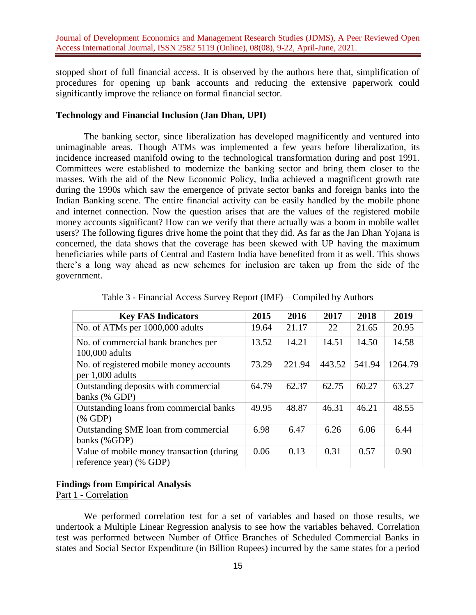stopped short of full financial access. It is observed by the authors here that, simplification of procedures for opening up bank accounts and reducing the extensive paperwork could significantly improve the reliance on formal financial sector.

# **Technology and Financial Inclusion (Jan Dhan, UPI)**

The banking sector, since liberalization has developed magnificently and ventured into unimaginable areas. Though ATMs was implemented a few years before liberalization, its incidence increased manifold owing to the technological transformation during and post 1991. Committees were established to modernize the banking sector and bring them closer to the masses. With the aid of the New Economic Policy, India achieved a magnificent growth rate during the 1990s which saw the emergence of private sector banks and foreign banks into the Indian Banking scene. The entire financial activity can be easily handled by the mobile phone and internet connection. Now the question arises that are the values of the registered mobile money accounts significant? How can we verify that there actually was a boom in mobile wallet users? The following figures drive home the point that they did. As far as the Jan Dhan Yojana is concerned, the data shows that the coverage has been skewed with UP having the maximum beneficiaries while parts of Central and Eastern India have benefited from it as well. This shows there's a long way ahead as new schemes for inclusion are taken up from the side of the government.

| <b>Key FAS Indicators</b>                                            | 2015  | 2016   | 2017   | 2018   | 2019    |
|----------------------------------------------------------------------|-------|--------|--------|--------|---------|
| No. of ATMs per 1000,000 adults                                      | 19.64 | 21.17  | 22     | 21.65  | 20.95   |
| No. of commercial bank branches per<br>100,000 adults                | 13.52 | 14.21  | 14.51  | 14.50  | 14.58   |
| No. of registered mobile money accounts<br>per 1,000 adults          | 73.29 | 221.94 | 443.52 | 541.94 | 1264.79 |
| Outstanding deposits with commercial<br>banks (% GDP)                | 64.79 | 62.37  | 62.75  | 60.27  | 63.27   |
| Outstanding loans from commercial banks<br>$(% \mathbf{A})$ (% GDP)  | 49.95 | 48.87  | 46.31  | 46.21  | 48.55   |
| Outstanding SME loan from commercial<br>banks (%GDP)                 | 6.98  | 6.47   | 6.26   | 6.06   | 6.44    |
| Value of mobile money transaction (during<br>reference year) (% GDP) | 0.06  | 0.13   | 0.31   | 0.57   | 0.90    |

Table 3 - Financial Access Survey Report (IMF) – Compiled by Authors

## **Findings from Empirical Analysis**

Part 1 - Correlation

We performed correlation test for a set of variables and based on those results, we undertook a Multiple Linear Regression analysis to see how the variables behaved. Correlation test was performed between Number of Office Branches of Scheduled Commercial Banks in states and Social Sector Expenditure (in Billion Rupees) incurred by the same states for a period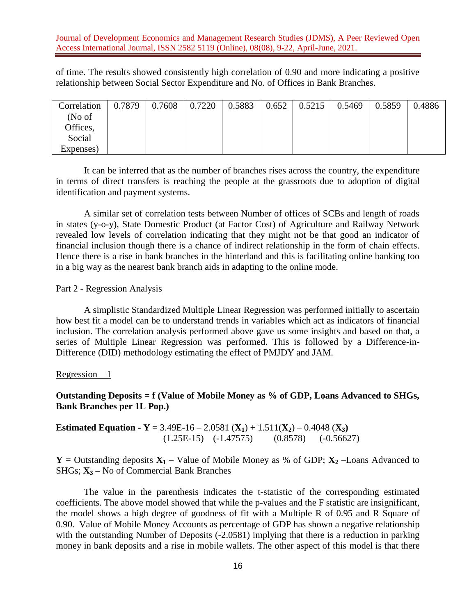of time. The results showed consistently high correlation of 0.90 and more indicating a positive relationship between Social Sector Expenditure and No. of Offices in Bank Branches.

| Correlation | 0.7879 | 0.7608 | 0.7220 | 0.5883 | 0.652 | 0.5215 | 0.5469 | 0.5859 | 0.4886 |
|-------------|--------|--------|--------|--------|-------|--------|--------|--------|--------|
| (No of      |        |        |        |        |       |        |        |        |        |
| Offices,    |        |        |        |        |       |        |        |        |        |
| Social      |        |        |        |        |       |        |        |        |        |
| Expenses)   |        |        |        |        |       |        |        |        |        |

It can be inferred that as the number of branches rises across the country, the expenditure in terms of direct transfers is reaching the people at the grassroots due to adoption of digital identification and payment systems.

A similar set of correlation tests between Number of offices of SCBs and length of roads in states (y-o-y), State Domestic Product (at Factor Cost) of Agriculture and Railway Network revealed low levels of correlation indicating that they might not be that good an indicator of financial inclusion though there is a chance of indirect relationship in the form of chain effects. Hence there is a rise in bank branches in the hinterland and this is facilitating online banking too in a big way as the nearest bank branch aids in adapting to the online mode.

#### Part 2 - Regression Analysis

A simplistic Standardized Multiple Linear Regression was performed initially to ascertain how best fit a model can be to understand trends in variables which act as indicators of financial inclusion. The correlation analysis performed above gave us some insights and based on that, a series of Multiple Linear Regression was performed. This is followed by a Difference-in-Difference (DID) methodology estimating the effect of PMJDY and JAM.

#### $Regression - 1$

**Outstanding Deposits = f (Value of Mobile Money as % of GDP, Loans Advanced to SHGs, Bank Branches per 1L Pop.)**

# **Estimated Equation -**  $Y = 3.49E-16 - 2.0581(X_1) + 1.511(X_2) - 0.4048(X_3)$  $(1.25E-15)$   $(-1.47575)$   $(0.8578)$   $(-0.56627)$

**Y** = Outstanding deposits  $X_1$  – Value of Mobile Money as % of GDP;  $X_2$  –Loans Advanced to SHGs; **X<sup>3</sup> –** No of Commercial Bank Branches

The value in the parenthesis indicates the t-statistic of the corresponding estimated coefficients. The above model showed that while the p-values and the F statistic are insignificant, the model shows a high degree of goodness of fit with a Multiple R of 0.95 and R Square of 0.90. Value of Mobile Money Accounts as percentage of GDP has shown a negative relationship with the outstanding Number of Deposits (-2.0581) implying that there is a reduction in parking money in bank deposits and a rise in mobile wallets. The other aspect of this model is that there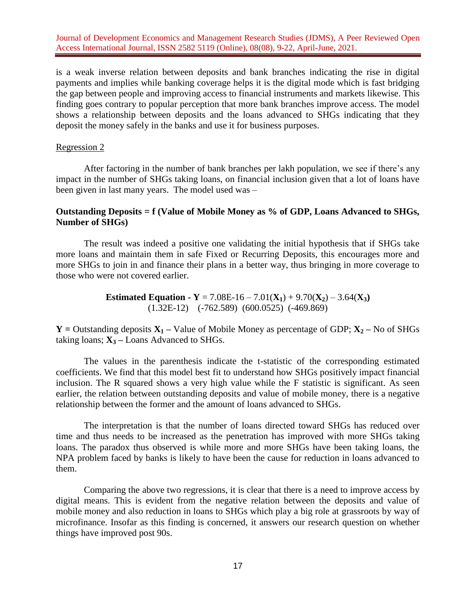is a weak inverse relation between deposits and bank branches indicating the rise in digital payments and implies while banking coverage helps it is the digital mode which is fast bridging the gap between people and improving access to financial instruments and markets likewise. This finding goes contrary to popular perception that more bank branches improve access. The model shows a relationship between deposits and the loans advanced to SHGs indicating that they deposit the money safely in the banks and use it for business purposes.

#### Regression 2

After factoring in the number of bank branches per lakh population, we see if there's any impact in the number of SHGs taking loans, on financial inclusion given that a lot of loans have been given in last many years. The model used was –

## **Outstanding Deposits = f (Value of Mobile Money as % of GDP, Loans Advanced to SHGs, Number of SHGs)**

The result was indeed a positive one validating the initial hypothesis that if SHGs take more loans and maintain them in safe Fixed or Recurring Deposits, this encourages more and more SHGs to join in and finance their plans in a better way, thus bringing in more coverage to those who were not covered earlier.

> **Estimated Equation -**  $Y = 7.08E-16 - 7.01(X_1) + 9.70(X_2) - 3.64(X_3)$ (1.32E-12) (-762.589) (600.0525)(-469.869)

**Y** = Outstanding deposits  $X_1$  – Value of Mobile Money as percentage of GDP;  $X_2$  – No of SHGs taking loans;  $X_3$  – Loans Advanced to SHGs.

The values in the parenthesis indicate the t-statistic of the corresponding estimated coefficients. We find that this model best fit to understand how SHGs positively impact financial inclusion. The R squared shows a very high value while the F statistic is significant. As seen earlier, the relation between outstanding deposits and value of mobile money, there is a negative relationship between the former and the amount of loans advanced to SHGs.

The interpretation is that the number of loans directed toward SHGs has reduced over time and thus needs to be increased as the penetration has improved with more SHGs taking loans. The paradox thus observed is while more and more SHGs have been taking loans, the NPA problem faced by banks is likely to have been the cause for reduction in loans advanced to them.

Comparing the above two regressions, it is clear that there is a need to improve access by digital means. This is evident from the negative relation between the deposits and value of mobile money and also reduction in loans to SHGs which play a big role at grassroots by way of microfinance. Insofar as this finding is concerned, it answers our research question on whether things have improved post 90s.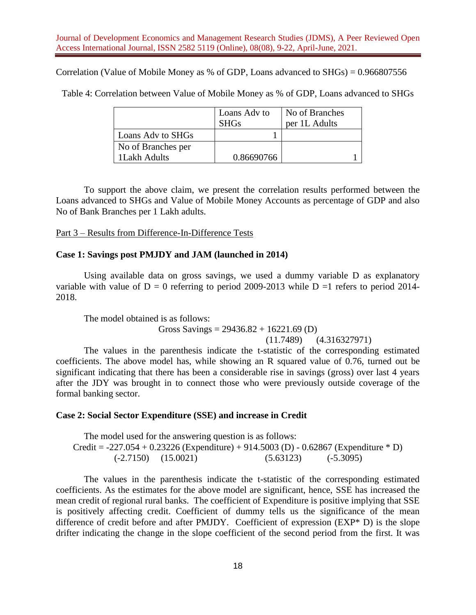Correlation (Value of Mobile Money as % of GDP, Loans advanced to SHGs) = 0.966807556

Table 4: Correlation between Value of Mobile Money as % of GDP, Loans advanced to SHGs

|                    | Loans Adv to | No of Branches |
|--------------------|--------------|----------------|
|                    | <b>SHGs</b>  | per 1L Adults  |
| Loans Adv to SHGs  |              |                |
| No of Branches per |              |                |
| 1Lakh Adults       | 0.86690766   |                |

To support the above claim, we present the correlation results performed between the Loans advanced to SHGs and Value of Mobile Money Accounts as percentage of GDP and also No of Bank Branches per 1 Lakh adults.

Part 3 – Results from Difference-In-Difference Tests

# **Case 1: Savings post PMJDY and JAM (launched in 2014)**

Using available data on gross savings, we used a dummy variable D as explanatory variable with value of  $D = 0$  referring to period 2009-2013 while  $D = 1$  refers to period 2014-2018.

The model obtained is as follows:

Gross Savings =  $29436.82 + 16221.69$  (D)

(11.7489) (4.316327971)

The values in the parenthesis indicate the t-statistic of the corresponding estimated coefficients. The above model has, while showing an R squared value of 0.76, turned out be significant indicating that there has been a considerable rise in savings (gross) over last 4 years after the JDY was brought in to connect those who were previously outside coverage of the formal banking sector.

## **Case 2: Social Sector Expenditure (SSE) and increase in Credit**

The model used for the answering question is as follows: Credit =  $-227.054 + 0.23226$  (Expenditure) + 914.5003 (D) - 0.62867 (Expenditure  $*$  D)  $(-2.7150)$   $(15.0021)$   $(5.63123)$   $(-5.3095)$ 

The values in the parenthesis indicate the t-statistic of the corresponding estimated coefficients. As the estimates for the above model are significant, hence, SSE has increased the mean credit of regional rural banks. The coefficient of Expenditure is positive implying that SSE is positively affecting credit. Coefficient of dummy tells us the significance of the mean difference of credit before and after PMJDY. Coefficient of expression (EXP\* D) is the slope drifter indicating the change in the slope coefficient of the second period from the first. It was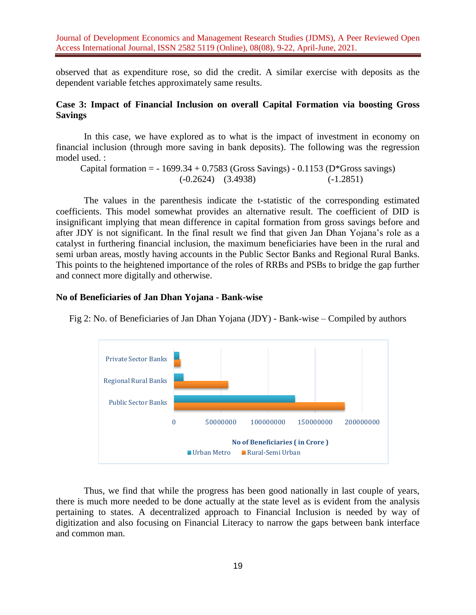observed that as expenditure rose, so did the credit. A similar exercise with deposits as the dependent variable fetches approximately same results.

# **Case 3: Impact of Financial Inclusion on overall Capital Formation via boosting Gross Savings**

In this case, we have explored as to what is the impact of investment in economy on financial inclusion (through more saving in bank deposits). The following was the regression model used. :

Capital formation =  $-1699.34 + 0.7583$  (Gross Savings)  $-0.1153$  (D\*Gross savings) (-0.2624) (3.4938) (-1.2851)

The values in the parenthesis indicate the t-statistic of the corresponding estimated coefficients. This model somewhat provides an alternative result. The coefficient of DID is insignificant implying that mean difference in capital formation from gross savings before and after JDY is not significant. In the final result we find that given Jan Dhan Yojana's role as a catalyst in furthering financial inclusion, the maximum beneficiaries have been in the rural and semi urban areas, mostly having accounts in the Public Sector Banks and Regional Rural Banks. This points to the heightened importance of the roles of RRBs and PSBs to bridge the gap further and connect more digitally and otherwise.

## **No of Beneficiaries of Jan Dhan Yojana - Bank-wise**

Fig 2: No. of Beneficiaries of Jan Dhan Yojana (JDY) - Bank-wise – Compiled by authors



Thus, we find that while the progress has been good nationally in last couple of years, there is much more needed to be done actually at the state level as is evident from the analysis pertaining to states. A decentralized approach to Financial Inclusion is needed by way of digitization and also focusing on Financial Literacy to narrow the gaps between bank interface and common man.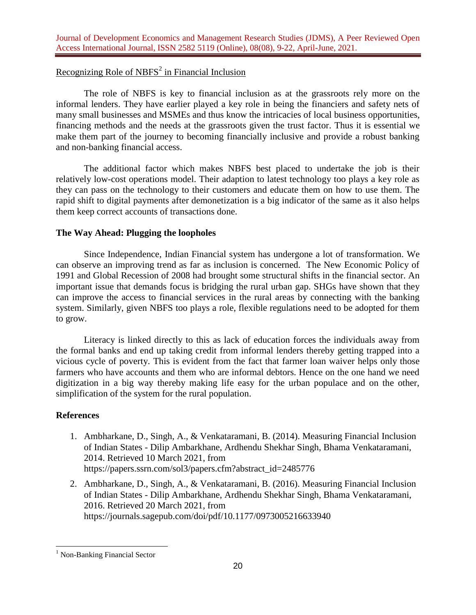# Recognizing Role of NBFS<sup>2</sup> in Financial Inclusion

The role of NBFS is key to financial inclusion as at the grassroots rely more on the informal lenders. They have earlier played a key role in being the financiers and safety nets of many small businesses and MSMEs and thus know the intricacies of local business opportunities, financing methods and the needs at the grassroots given the trust factor. Thus it is essential we make them part of the journey to becoming financially inclusive and provide a robust banking and non-banking financial access.

The additional factor which makes NBFS best placed to undertake the job is their relatively low-cost operations model. Their adaption to latest technology too plays a key role as they can pass on the technology to their customers and educate them on how to use them. The rapid shift to digital payments after demonetization is a big indicator of the same as it also helps them keep correct accounts of transactions done.

# **The Way Ahead: Plugging the loopholes**

Since Independence, Indian Financial system has undergone a lot of transformation. We can observe an improving trend as far as inclusion is concerned. The New Economic Policy of 1991 and Global Recession of 2008 had brought some structural shifts in the financial sector. An important issue that demands focus is bridging the rural urban gap. SHGs have shown that they can improve the access to financial services in the rural areas by connecting with the banking system. Similarly, given NBFS too plays a role, flexible regulations need to be adopted for them to grow.

Literacy is linked directly to this as lack of education forces the individuals away from the formal banks and end up taking credit from informal lenders thereby getting trapped into a vicious cycle of poverty. This is evident from the fact that farmer loan waiver helps only those farmers who have accounts and them who are informal debtors. Hence on the one hand we need digitization in a big way thereby making life easy for the urban populace and on the other, simplification of the system for the rural population.

# **References**

- 1. Ambharkane, D., Singh, A., & Venkataramani, B. (2014). Measuring Financial Inclusion of Indian States - Dilip Ambarkhane, Ardhendu Shekhar Singh, Bhama Venkataramani, 2014. Retrieved 10 March 2021, from [https://papers.ssrn.com/sol3/papers.cfm?abstract\\_id=2485776](https://papers.ssrn.com/sol3/papers.cfm?abstract_id=2485776)
- 2. Ambharkane, D., Singh, A., & Venkataramani, B. (2016). Measuring Financial Inclusion of Indian States - Dilip Ambarkhane, Ardhendu Shekhar Singh, Bhama Venkataramani, 2016. Retrieved 20 March 2021, from <https://journals.sagepub.com/doi/pdf/10.1177/0973005216633940>

 <sup>1</sup> Non-Banking Financial Sector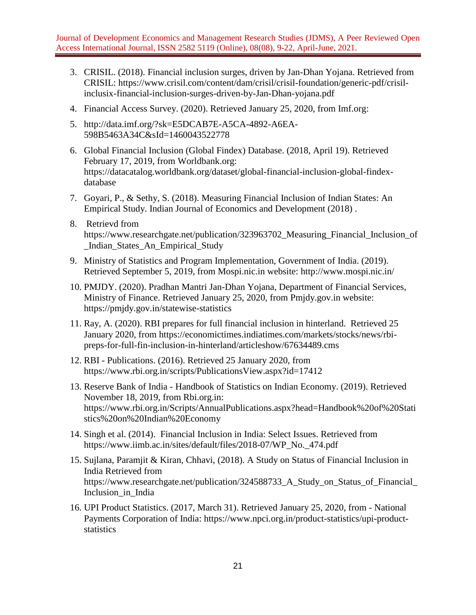- 3. CRISIL. (2018). Financial inclusion surges, driven by Jan-Dhan Yojana. Retrieved from CRISIL: [https://www.crisil.com/content/dam/crisil/crisil-foundation/generic-pdf/crisil](https://www.crisil.com/content/dam/crisil/crisil-foundation/generic-pdf/crisil-inclusix-financial-inclusion-surges-driven-by-Jan-Dhan-yojana.pdf)[inclusix-financial-inclusion-surges-driven-by-Jan-Dhan-yojana.pdf](https://www.crisil.com/content/dam/crisil/crisil-foundation/generic-pdf/crisil-inclusix-financial-inclusion-surges-driven-by-Jan-Dhan-yojana.pdf)
- 4. Financial Access Survey. (2020). Retrieved January 25, 2020, from Imf.org:
- 5. [http://data.imf.org/?sk=E5DCAB7E-A5CA-4892-A6EA-](http://data.imf.org/?sk=E5DCAB7E-A5CA-4892-A6EA-598B5463A34C&sId=1460043522778)[598B5463A34C&sId=1460043522778](http://data.imf.org/?sk=E5DCAB7E-A5CA-4892-A6EA-598B5463A34C&sId=1460043522778)
- 6. Global Financial Inclusion (Global Findex) Database. (2018, April 19). Retrieved February 17, 2019, from Worldbank.org: [https://datacatalog.worldbank.org/dataset/global-financial-inclusion-global-findex](https://datacatalog.worldbank.org/dataset/global-financial-inclusion-global-findex-database)[database](https://datacatalog.worldbank.org/dataset/global-financial-inclusion-global-findex-database)
- 7. Goyari, P., & Sethy, S. (2018). Measuring Financial Inclusion of Indian States: An Empirical Study. Indian Journal of Economics and Development (2018) .
- 8. Retrievd from [https://www.researchgate.net/publication/323963702\\_Measuring\\_Financial\\_Inclusion\\_of](https://www.researchgate.net/publication/323963702_Measuring_Financial_Inclusion_of_Indian_States_An_Empirical_Study) [\\_Indian\\_States\\_An\\_Empirical\\_Study](https://www.researchgate.net/publication/323963702_Measuring_Financial_Inclusion_of_Indian_States_An_Empirical_Study)
- 9. Ministry of Statistics and Program Implementation, Government of India. (2019). Retrieved September 5, 2019, from Mospi.nic.in website:<http://www.mospi.nic.in/>
- 10. PMJDY. (2020). Pradhan Mantri Jan-Dhan Yojana, Department of Financial Services, Ministry of Finance. Retrieved January 25, 2020, from Pmjdy.gov.in website: <https://pmjdy.gov.in/statewise-statistics>
- 11. Ray, A. (2020). RBI prepares for full financial inclusion in hinterland. Retrieved 25 January 2020, from [https://economictimes.indiatimes.com/markets/stocks/news/rbi](https://economictimes.indiatimes.com/markets/stocks/news/rbi-preps-for-full-fin-inclusion-in-hinterland/articleshow/67634489.cms)[preps-for-full-fin-inclusion-in-hinterland/articleshow/67634489.cms](https://economictimes.indiatimes.com/markets/stocks/news/rbi-preps-for-full-fin-inclusion-in-hinterland/articleshow/67634489.cms)
- 12. RBI Publications. (2016). Retrieved 25 January 2020, from <https://www.rbi.org.in/scripts/PublicationsView.aspx?id=17412>
- 13. Reserve Bank of India Handbook of Statistics on Indian Economy. (2019). Retrieved November 18, 2019, from Rbi.org.in: [https://www.rbi.org.in/Scripts/AnnualPublications.aspx?head=Handbook%20of%20Stati](https://www.rbi.org.in/Scripts/AnnualPublications.aspx?head=Handbook%20of%20Statistics%20on%20Indian%20Economy) [stics%20on%20Indian%20Economy](https://www.rbi.org.in/Scripts/AnnualPublications.aspx?head=Handbook%20of%20Statistics%20on%20Indian%20Economy)
- 14. Singh et al. (2014). Financial Inclusion in India: Select Issues. Retrieved from [https://www.iimb.ac.in/sites/default/files/2018-07/WP\\_No.\\_474.pdf](https://www.iimb.ac.in/sites/default/files/2018-07/WP_No._474.pdf)
- 15. Sujlana, Paramjit & Kiran, Chhavi, (2018). A Study on Status of Financial Inclusion in India Retrieved from [https://www.researchgate.net/publication/324588733\\_A\\_Study\\_on\\_Status\\_of\\_Financial\\_](https://www.researchgate.net/publication/324588733_A_Study_on_Status_of_Financial_Inclusion_in_India) [Inclusion\\_in\\_India](https://www.researchgate.net/publication/324588733_A_Study_on_Status_of_Financial_Inclusion_in_India)
- 16. UPI Product Statistics. (2017, March 31). Retrieved January 25, 2020, from National Payments Corporation of India: [https://www.npci.org.in/product-statistics/upi-product](https://www.npci.org.in/product-statistics/upi-product-statistics)[statistics](https://www.npci.org.in/product-statistics/upi-product-statistics)